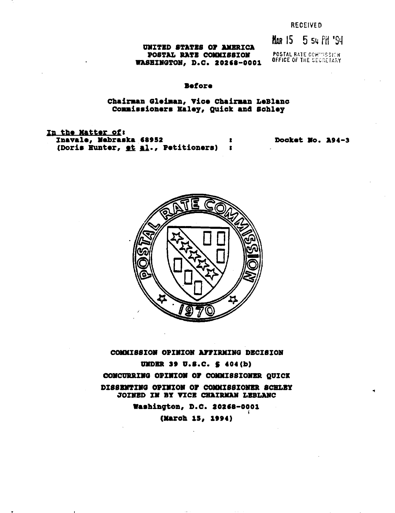$M_{AB}$  15 5  $54$  PH  $^{15}$ S4

**mTZTZO STATBS 01' AllBRICA POSTAL RATE COMMISSION WASHINGTON, D.C. 20268-0001** 

POSTAL RA1E CCW'iSSI:H OFFICE OF THE SECRETARY

# **.efore**

# **Cbairaan Gletaan, Vice Cbairaan LeBlanc Co..i ••ioner. Baley, QUick an4 schley**

In the Matter of: Inavale, **Nebraska 68952**<br>(Doris Hunter, et al., Petitioners) : **(Dori. Hunter, Al., Petitioners) <sup>I</sup>**

Docket No. A94-3



**COMMISSION OPINION AFFIRMING DECISION UMDER 39 U.S.C. \$ 404(b) CONCURRING OPINION OF COMMISSIONER QUICK DIS8BJIITIJIIG OJIIJIIIOJII 01' OOIOfI88IOJIIBR SCBLBY JOINED IN BY VICE CHAIRMAN LEBLANC** 

**Washington, D.C. 20268-0001** i **(March 15, 1994)**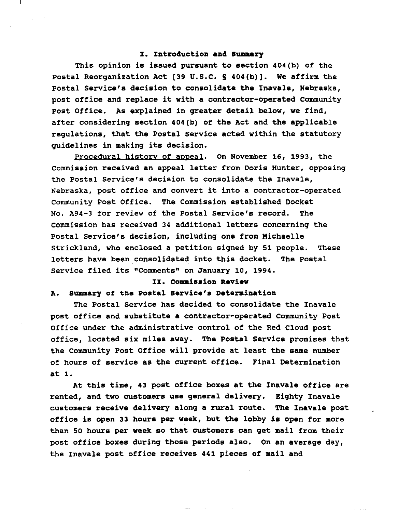### I. Introduction and Summary

This opinion is issued pursuant to section 404(b) of the Postal Reorganization Act [39 U.S.C. S 404(b)]. We affirm the Postal Service's decision to consolidate the Inavale, Nebraska, post office and replace it with <sup>a</sup> contractor-operated Community Post Office. As explained in greater detail below, we find, after considering section 404(b) of the Act and the applicable regulations, that the Postal Service acted within the statutory guidelines in making its decision.

Procedural history of appeal. On November 16, 1993, the Commission received an appeal letter from Doris Hunter, opposing the Postal Service's decision to consolidate the Inavale, Nebraska, post office and convert it into <sup>a</sup> contractor-operated community Post Office. The Commission established Docket No. A94-3 for review of the Postal Service's record. The Commission has received 34 additional letters concerning the Postal Service's decision, including one from Michaelle strickland, who enclosed a petition signed by 51 people. These letters have been consolidated into this docket. The Postal service filed its "Comments" on January 10, 1994.

# II. Commission Review

### A. Summary of the Postal Service's Determination

The Postal Service has decided to consolidate the Inavale post office and substitute a contractor-operated Community Post Office under the administrative control of the Red Cloud post office, located six miles away. The Postal Service promises that the Community Post Office will provide at least the same number of hours of service as the current office. Final Determination at 1.

At this time, 43 post office boxes at the Inavale office are rented, and two customers use general delivery. Eighty Inavale customers receive delivery along a rural route. The Inavale post office is open <sup>33</sup> hours per week, but the lobby is open for more than 50 hours per week so that customers can get mail from their post office boxes during those periods also. On an average day, the Inavale post office receives 441 pieces of mail and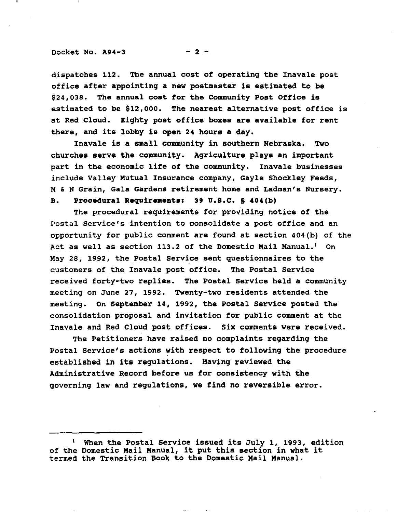### Docket No.  $A94-3$  - 2 -

dispatches 112. The annual cost of operating the Inavale post office after appointing a new postmaster is estimated to be \$24,038. The annual cost for the Community Post Office is estimated to be \$12,000. The nearest alternative post office is at Red Cloud. Eighty post office boxes are available for rent there, and its lobby is open <sup>24</sup> hours <sup>a</sup> day.

Inavale is a small community in southern Nebraska. Two churches serve the community. Agriculture plays an important part in the economic life of the community. Inavale businesses include Valley Mutual Insurance company, Gayle Shockley Feeds, M & N Grain, Gala Gardens retirement home and Ladman's Nursery.

# B. Procedural Requirements: 39 U.S.C. § 404(b)

The procedural requirements for providing notice of the Postal Service's intention to consolidate a post office and an opportunity for public comment are found at section  $404(b)$  of the Act as well as section 113.2 of the Domestic Mail Manual.' On May 28, 1992, the Postal Service sent questionnaires to the customers of the Inavale post office. The Postal Service received forty-two replies. The Postal service held a community meeting on June 27, 1992. Twenty-two residents attended the meeting. On September 14, 1992, the Postal Service posted the consolidation proposal and invitation for public comment at the Inavale and Red Cloud post offices. Six comments were received.

The Petitioners have raised no complaints regarding the Postal Service's actions with respect to following the procedure established in its regulations. Having reviewed the Administrative Record before us for consistency with the governing law and regulations, we find no reversible error.

When the Postal Service issued its July 1, 1993, edition of the Domestic Mail Manual, it put this section in what it termed the Transition Book to the Domestic Mail Manual.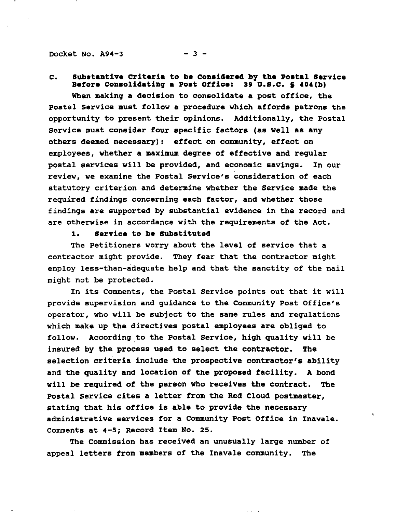Docket No.  $A94-3$  - 3 -

C. Substantive Criteria to be Considered by the Postal Service Before Consolidating a Post Office: 39 U.S.C. § 404(b)

When makinq a decision to consolidate a post office, the postal Service must follow a procedure which affords patrons the opportunity to present their opinions. Additionally, the Postal Service must consider four specific factors (as well as any others deemed necessary): effect on community, effect on employees, whether a maximum deqree of effective and regular postal services will be provided, and economic savinqs. In our review, we examine the Postal Service's consideration of each statutory criterion and determine whether the Service made the required findinqs concerninq each factor, and whether those findinqs are supported by substantial evidence in the record and are otherwise in accordance with the requirements of the Act.

# 1. service to **be** Substituted

The Petitioners worry about the level of service that a contractor miqht provide. They fear that the contractor miqht employ less-than-adequate help and that the sanctity of the mail miqht not be protected.

In its Comments, the Postal Service points out that it will provide supervision and guidance to the Community Post Office's operator, who will be subject to the same rules and regulations which make up the directives postal employees are obliqed to follow. According to the Postal Service, high quality will be insured by the process used to select the contractor. The selection criteria include the prospective contractor's ability and the quality and location of the proposed facility. A bond will be required of the person who receives the contract. The Postal Service cites a letter from the Red Cloud postmaster, statinq that his office is able to provide the necessary administrative services for a Community Post Office in Inavale. Comments at 4-5; Record Item No. 25.

The Commission has received an unusually larqe number of appeal letters from members of the Inavale community. The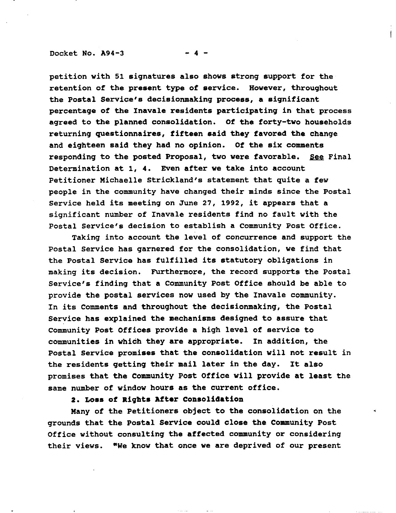#### Docket No.  $A94-3$

petition with 51 signatures also shows strong support for the retention of the present type of service. However, throughout the Postal Service's decisionmaking process, a significant percentage of the Inavale residents participating in that process agreed to the planned consolidation. Of the forty-two households returning questionnaires, fifteen said they favored the change and eighteen said they had no opinion. Of the six comments responding to the posted Proposal, two were favorable. See Final Determination at 1, 4. Even after we take into account Petitioner Michaelle Strickland's statement that quite a few people in the community have changed their minds since the Postal service held its meeting on June 27, 1992, it appears that <sup>a</sup> significant number of Inavale residents find no fault with the Postal Service's decision to establish a community Post Office.

Taking into account the level of concurrence and support the Postal Service has garnered for the consolidation, we find that the Postal Service has fulfilled its statutory obligations in making its decision. Furthermore, the record supports the Postal Service's finding that a Community Post Office should be able to provide the postal services now used by the Inavale community. In its Comments and throughout the decisionmaking, the Postal Service has explained the mechanisms designed to assure that community Post Offices provide a high level of service to communities in which they are appropriate. In addition, the Postal Service promises that the consolidation will not result in the residents getting their mail later in the day. It also promises that the Community Post Office will provide at least the same number of window hours as the current office.

2. Loss of Rights After Consolidation

Many of the Petitioners object to the consolidation on the ' grounds that the Postal Service could close the Community Post Office without consulting the affected community or considering their views. "We know that once we are deprived of our present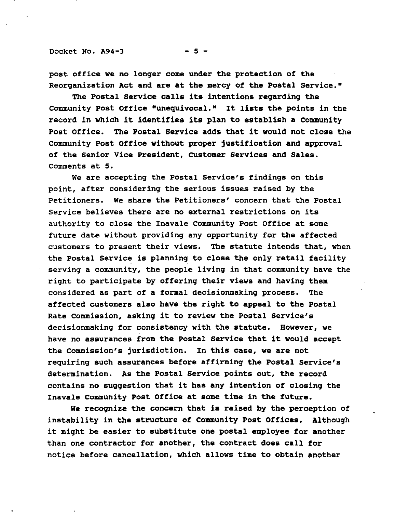Docket No.  $A94-3$  - 5 -

post office we no lonqer come under the protection of the Reorqanization Act and are at the mercy of the Postal Service."

The Postal Service calls its intentions reqardinq the Community Post Office "unequivocal." It lists the points in the record in which it identifies its plan to establish <sup>a</sup> Community Post Office. The Postal Service adds that it would not close the Community Post Office without proper justification and approval of the Senior Vice President, CUstomer Services and Sales. Comments at 5.

We are acceptinq the Postal Service's findinqs on this point, after considerinq the serious issues raised by the Petitioners. We share the Petitioners' concern that the Postal Service believes there are no external restrictions on its authority to close the Inavale community Post Office at some future date without providinq any opportunity for the affected customers to present their views. The statute intends that, when the Postal Service is planninq to close the only retail facility servinq a community, the people livinq in that community have the riqht to participate by offerinq their views and havinq them considered as part of a formal decisionmakinq process. The affected customers also have the riqht to appeal to the Postal Rate Commission, askinq it to review the Postal Service's decisionmakinq for consistency with the statute. However, we have no assurances from the Postal service that it would accept the Commission's jurisdiction. In this case, we are not requirinq such assurances before affirminq the Postal Service's determination. As the Postal Service points out, the record contains no suqqestion that it has any intention of closinq the Inavale community Post Office at some time in the future.

We recoqnize the concern that is raised by the perception of instability in the structure of Community Post Offices. Althouqh it miqht be easier to substitute one postal employee for another than one contractor for another, the contract does call for notice before cancellation, which allows time to obtain another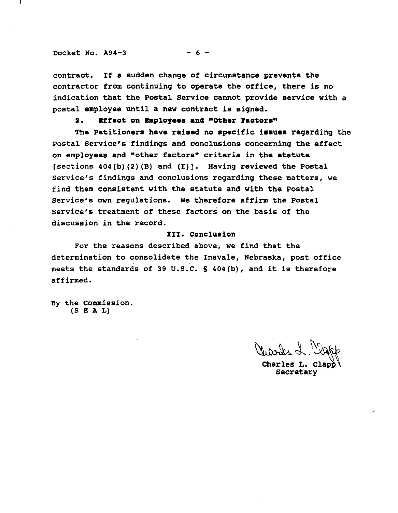#### Docket No.  $A94-3$  - 6 -

contract. If <sup>a</sup> sudden change of circumstance prevents the contractor from continuing to operate the office, there is no indication that the Postal Service cannot provide service with a postal employee until a new contract is signed.

# 2. Effect on Employees and "Other Factors"

The Petitioners have raised no specific issues regarding the Postal Service's findings and conclusions concerning the effect on employees and "other factors" criteria in the statute [sections 404(b)(2)(B) and (E)]. Having reviewed the Postal Service's findings and conclusions regarding these matters, we find them consistent with the statute and with the Postal Service's own regulations. We therefore affirm the Postal service's treatment of these factors on the basis of the discussion in the record.

## III. Conclusion

For the reasons described above, we find that the determination to consolidate the Inavale, Nebraska, post office meets the standards of <sup>39</sup> U.S.C. <sup>S</sup> 404(b), and it is therefore affirmed.

By the Commission. (S E A L)

 $\mathcal{N}$ . Vicones L. Mart

Charles L. Clap<del>ì</del> Secretary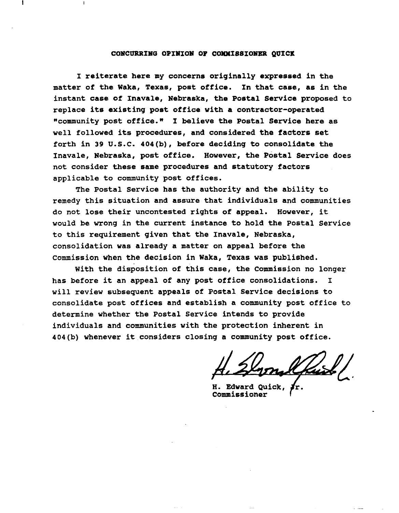#### CONCURRING OPINION OF COMMISSIONER QUICK

I reiterate here my concerns originally expressed in the matter of the Waka, Texas, post office. In that case, as in the instant case of Inavale, Nebraska, the Postal Service proposed to replace its existing post office with <sup>a</sup> contractor-operated "community post office." I believe the Postal Service here as well followed its procedures, and considered the factors set forth in 39 U.S.C. 404(b), before deciding to consolidate the Inavale, Nebraska, post office. However, the Postal Service does not consider these same procedures and statutory factors applicable to community post offices.

The Postal Service has the authority and the ability to remedy this situation and assure that individuals and communities do not lose their uncontested rights of appeal. However, it would be wrong in the current instance to hold the Postal Service to this requirement given that the Inavale, Nebraska, consolidation was already a matter on appeal before the Commission when the decision in Waka, Texas was published.

with the disposition of this case, the Commission no longer has before it an appeal of any post office consolidations. <sup>I</sup> will review subsequent appeals of Postal Service decisions to consolidate post offices and establish a community post office to determine whether the Postal Service intends to provide individuals and communities with the protection inherent in 404(b) whenever it considers closing <sup>a</sup> community post office.

H. Edward Quick, commissioner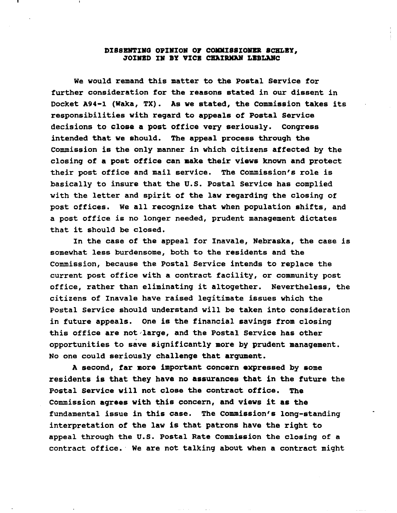## DISSENTING OPINION OF COMMISSIONER SCHLEY, JOINED IN BY VICE CHAIRMAN LEBLANC

We would remand this matter to the Postal Service for further consideration for the reasons stated in our dissent in Docket A94-1 (Waka, TX). As we stated, the Commission takes its responsibilities with regard to appeals of Postal Service decisions to close a post office very seriously. Congress intended that we should. The appeal process through the Commission is the only manner in which citizens affected by the closing of a post office can make their views known and protect their post office and mail service. The commission's role is basically to insure that the u.S. Postal Service has complied with the letter and spirit of the law regarding the closing of post offices. We all recognize that when population shifts, and <sup>a</sup> post office is no longer needed, prudent management dictates that it should be closed.

In the case of the appeal for Inavale, Nebraska, the case is somewhat less burdensome, both to the residents and the Commission, because the Postal Service intends to replace the current post office with a contract facility, or community post office, rather than eliminating it altogether. Nevertheless, the citizens of Inavale have raised legitimate issues which the Postal Service should understand will be taken into consideration in future appeals. One is the financial savings from closing this office are not large, and the Postal Service has other opportunities to save significantly more by prudent management. No one could seriously challenge that argument.

A second, far more important concern expressed by some residents is that they have no assurances that in the future the Postal Service will not close the contract office. The Commission agrees with this concern, and views it as the fundamental issue in this case. The Commission's long-standing interpretation of the law is that patrons have the right to appeal through the U.S. Postal Rate Commission the closing of a contract office. We are not talking about when a contract might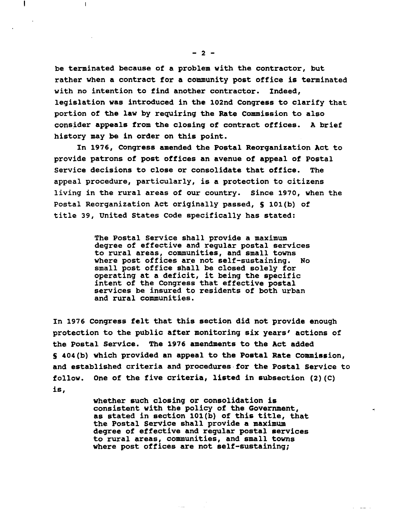be terminated because of a problem with the contractor, but rather when a contract for a community post office is terminated with no intention to find another contractor. Indeed, legislation was introduced in the 102nd Congress to clarify that portion of the law by requiring the Rate Commission to also consider appeals from the closing of contract offices. A brief history may be in order on this point.

In 1976, Congress amended the Postal Reorganization Act to provide patrons of post offices an avenue of appeal of Postal Service decisions to close or consolidate that office. The appeal procedure, particularly, is a protection to citizens living in the rural areas of our country. Since 1970, when the Postal Reorganization Act originally passed, S 101(b) of title 39, united States Code specifically has stated:

> The Postal Service shall provide a maximum degree of effective and regular postal services to rural areas, communities, and small towns where post offices are not self-sustaining. No small post office shall be closed solely for operating at <sup>a</sup> deficit, it being the specific intent of the Congress that effective postal services be insured to residents of both urban and rural communities.

In 1976 Congress felt that this section did not provide enough protection to the public after monitoring six years' actions of the Postal Service. The 1976 amendments to the Act added S 404(b) which provided an appeal to the Postal Rate commission, and established criteria and procedures· for the Postal Service to follow. One of the five criteria, listed in subsection (2)(C) is,

> whether such closing or consolidation is consistent with the policy of the Government, as stated in section 101(b) of this title, that the Postal service shall provide a maximum degree of effective and regular postal services to rural areas, communities, and small towns where post offices are not self-sustaining;

> > $\Delta \Delta \Delta \Delta \Delta \Delta \Delta$

L

 $\mathbf{I}$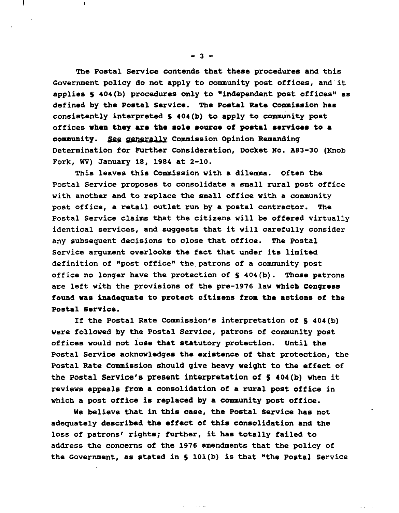The Postal Service contends that these procedures and this Government policy do not apply to community post offices, and it applies 5 404(b) procedures only to "independent post offices" as defined by the Postal Service. The Postal Rate Commission has consistently interpreted 5 404(b) to apply to community post offices when they are the sole source of postal services to a community. See generally Commission Opinion Remanding Determination for Further Consideration, Docket No. A83-30 (Knob Fork, WV) January 18, 1984 at 2-10.

This leaves this Commission with a dilemma. Often the Postal Service proposes to consolidate a small rural post office with another and to replace the small office with a community post office, a retail outlet run by a postal contractor. The Postal Service claims that the citizens will be offered virtually identical services, and suggests that it will carefully consider any sUbsequent decisions to close that office. The Postal Service argument overlooks the fact that under its limited definition of "post office" the patrons of a community post office no longer have the protection of 5 404(b). Those patrons are left with the provisions of the pre-1976 law Which congress found was inadequate to protect citizens from the actions of the Postal Service.

If the Postal Rate Commission's interpretation of 5 404(b) were followed by the Postal Service, patrons of community post offices would not lose that statutory protection. until the Postal Service acknowledges the existence of that protection, the Postal Rate Commission should give heavy weight to the effect of the Postal service's present interpretation of <sup>S</sup> 404(b) when it reviews appeals from a consolidation of a rural post office in which a post office is replaced by a community post office.

We believe that in this case, the Postal Service has not adequately described the effect of this consolidation and the loss of patrons' rights; further, it has totally failed to address the concerns of the 1976 amendments that the policy of the Government, as stated in <sup>S</sup> 101(b) is that "the Postal Service

ista.

 $-3 -$ 

L